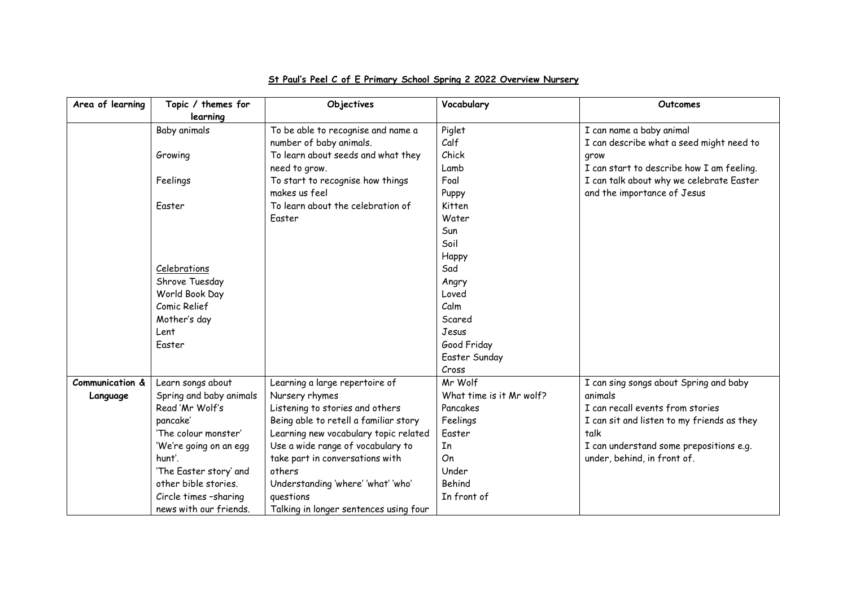| Area of learning | Topic / themes for<br>learning | Objectives                             | Vocabulary               | Outcomes                                   |
|------------------|--------------------------------|----------------------------------------|--------------------------|--------------------------------------------|
|                  | Baby animals                   | To be able to recognise and name a     | Piglet                   | I can name a baby animal                   |
|                  |                                | number of baby animals.                | Calf                     | I can describe what a seed might need to   |
|                  | Growing                        | To learn about seeds and what they     | Chick                    | grow                                       |
|                  |                                | need to grow.                          | Lamb                     | I can start to describe how I am feeling.  |
|                  | Feelings                       | To start to recognise how things       | Foal                     | I can talk about why we celebrate Easter   |
|                  |                                | makes us feel                          | Puppy                    | and the importance of Jesus                |
|                  | Easter                         | To learn about the celebration of      | Kitten                   |                                            |
|                  |                                | Easter                                 | Water                    |                                            |
|                  |                                |                                        | Sun                      |                                            |
|                  |                                |                                        | Soil                     |                                            |
|                  |                                |                                        | Happy                    |                                            |
|                  | Celebrations                   |                                        | Sad                      |                                            |
|                  | Shrove Tuesday                 |                                        | Angry                    |                                            |
|                  | World Book Day                 |                                        | Loved                    |                                            |
|                  | Comic Relief                   |                                        | Calm                     |                                            |
|                  | Mother's day                   |                                        | Scared                   |                                            |
|                  | Lent                           |                                        | Jesus                    |                                            |
|                  | <b>Easter</b>                  |                                        | Good Friday              |                                            |
|                  |                                |                                        | Easter Sunday            |                                            |
|                  |                                |                                        | Cross                    |                                            |
| Communication &  | Learn songs about              | Learning a large repertoire of         | Mr Wolf                  | I can sing songs about Spring and baby     |
| Language         | Spring and baby animals        | Nursery rhymes                         | What time is it Mr wolf? | animals                                    |
|                  | Read 'Mr Wolf's                | Listening to stories and others        | Pancakes                 | I can recall events from stories           |
|                  | pancake'                       | Being able to retell a familiar story  | Feelings                 | I can sit and listen to my friends as they |
|                  | 'The colour monster'           | Learning new vocabulary topic related  | Easter                   | talk                                       |
|                  | 'We're going on an egg         | Use a wide range of vocabulary to      | In                       | I can understand some prepositions e.g.    |
|                  | hunt'.                         | take part in conversations with        | On                       | under, behind, in front of.                |
|                  | 'The Easter story' and         | others                                 | Under                    |                                            |
|                  | other bible stories.           | Understanding 'where' 'what' 'who'     | Behind                   |                                            |
|                  | Circle times -sharing          | questions                              | In front of              |                                            |
|                  | news with our friends.         | Talking in longer sentences using four |                          |                                            |

## **St Paul's Peel C of E Primary School Spring 2 2022 Overview Nursery**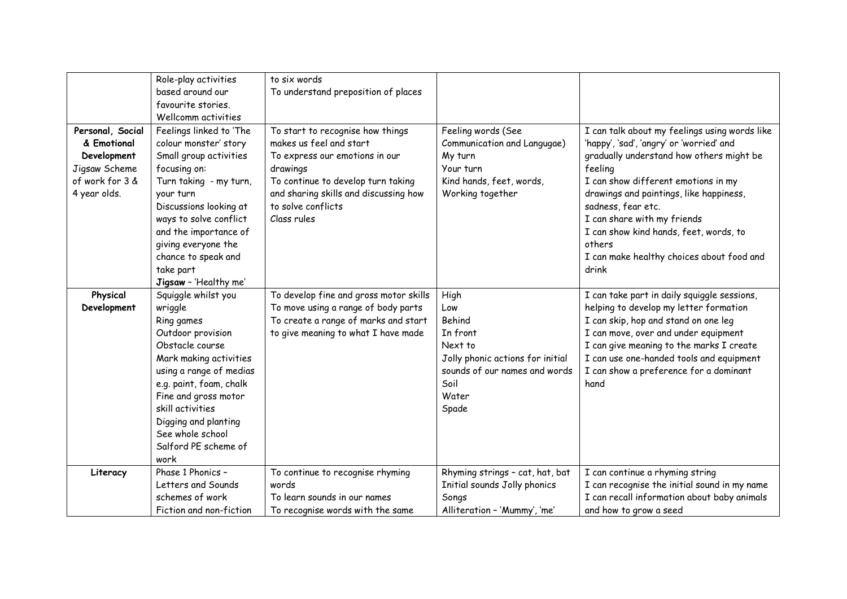|                                                                                                    | Role-play activities<br>based around our<br>favourite stories.<br>Wellcomm activities                                                                                                                                                                                                              | to six words<br>To understand preposition of places                                                                                                                                                                           |                                                                                                                                             |                                                                                                                                                                                                                                                                                                                                                                                                   |
|----------------------------------------------------------------------------------------------------|----------------------------------------------------------------------------------------------------------------------------------------------------------------------------------------------------------------------------------------------------------------------------------------------------|-------------------------------------------------------------------------------------------------------------------------------------------------------------------------------------------------------------------------------|---------------------------------------------------------------------------------------------------------------------------------------------|---------------------------------------------------------------------------------------------------------------------------------------------------------------------------------------------------------------------------------------------------------------------------------------------------------------------------------------------------------------------------------------------------|
| Personal, Social<br>& Emotional<br>Development<br>Jigsaw Scheme<br>of work for 3 &<br>4 year olds. | Feelings linked to 'The<br>colour monster' story<br>Small group activities<br>focusing on:<br>Turn taking - my turn,<br>your turn<br>Discussions looking at<br>ways to solve conflict<br>and the importance of<br>giving everyone the<br>chance to speak and<br>take part<br>Jigsaw - 'Healthy me' | To start to recognise how things<br>makes us feel and start<br>To express our emotions in our<br>drawings<br>To continue to develop turn taking<br>and sharing skills and discussing how<br>to solve conflicts<br>Class rules | Feeling words (See<br>Communication and Langugae)<br>My turn<br>Your turn<br>Kind hands, feet, words,<br>Working together                   | I can talk about my feelings using words like<br>'happy', 'sad', 'angry' or 'worried' and<br>gradually understand how others might be<br>feeling<br>I can show different emotions in my<br>drawings and paintings, like happiness,<br>sadness, fear etc.<br>I can share with my friends<br>I can show kind hands, feet, words, to<br>others<br>I can make healthy choices about food and<br>drink |
| Physical<br>Development                                                                            | Squiggle whilst you<br>wriggle<br>Ring games<br>Outdoor provision<br>Obstacle course<br>Mark making activities<br>using a range of medias<br>e.g. paint, foam, chalk<br>Fine and gross motor<br>skill activities<br>Digging and planting<br>See whole school<br>Salford PE scheme of<br>work       | To develop fine and gross motor skills<br>To move using a range of body parts<br>To create a range of marks and start<br>to give meaning to what I have made                                                                  | High<br>Low<br>Behind<br>In front<br>Next to<br>Jolly phonic actions for initial<br>sounds of our names and words<br>Soil<br>Water<br>Spade | I can take part in daily squiggle sessions,<br>helping to develop my letter formation<br>I can skip, hop and stand on one leg<br>I can move, over and under equipment<br>I can give meaning to the marks I create<br>I can use one-handed tools and equipment<br>I can show a preference for a dominant<br>hand                                                                                   |
| Literacy                                                                                           | Phase 1 Phonics -<br>Letters and Sounds<br>schemes of work<br>Fiction and non-fiction                                                                                                                                                                                                              | To continue to recognise rhyming<br>words<br>To learn sounds in our names<br>To recognise words with the same                                                                                                                 | Rhyming strings - cat, hat, bat<br>Initial sounds Jolly phonics<br>Songs<br>Alliteration - 'Mummy', 'me'                                    | I can continue a rhyming string<br>I can recognise the initial sound in my name<br>I can recall information about baby animals<br>and how to grow a seed                                                                                                                                                                                                                                          |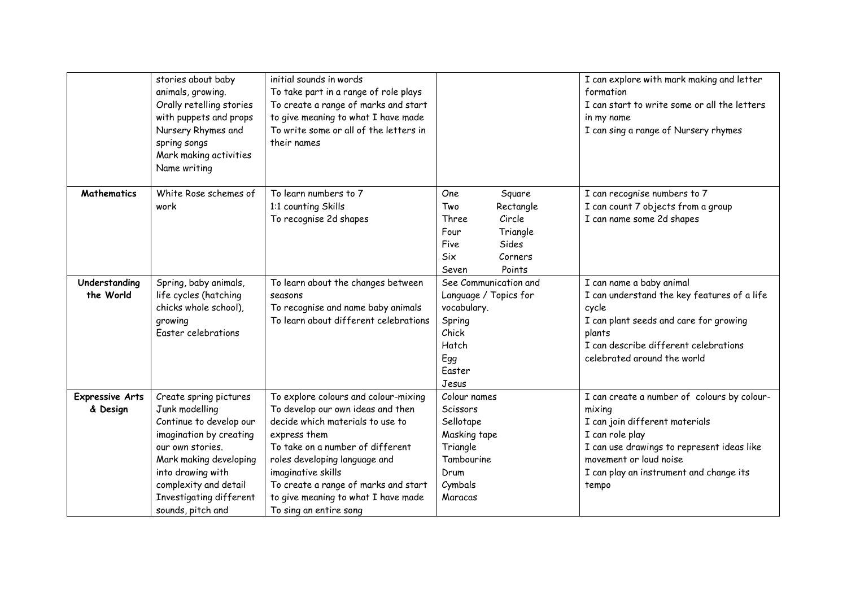|                                    | stories about baby<br>animals, growing.<br>Orally retelling stories<br>with puppets and props<br>Nursery Rhymes and<br>spring songs<br>Mark making activities<br>Name writing                                                              | initial sounds in words<br>To take part in a range of role plays<br>To create a range of marks and start<br>to give meaning to what I have made<br>To write some or all of the letters in<br>their names                                                                                                                          |                                                                                                                                | I can explore with mark making and letter<br>formation<br>I can start to write some or all the letters<br>in my name<br>I can sing a range of Nursery rhymes                                                                           |
|------------------------------------|--------------------------------------------------------------------------------------------------------------------------------------------------------------------------------------------------------------------------------------------|-----------------------------------------------------------------------------------------------------------------------------------------------------------------------------------------------------------------------------------------------------------------------------------------------------------------------------------|--------------------------------------------------------------------------------------------------------------------------------|----------------------------------------------------------------------------------------------------------------------------------------------------------------------------------------------------------------------------------------|
| Mathematics                        | White Rose schemes of<br>work                                                                                                                                                                                                              | To learn numbers to 7<br>1:1 counting Skills<br>To recognise 2d shapes                                                                                                                                                                                                                                                            | One<br>Square<br>Two<br>Rectangle<br>Circle<br>Three<br>Four<br>Triangle<br>Sides<br>Five<br>Six<br>Corners<br>Points<br>Seven | I can recognise numbers to 7<br>I can count 7 objects from a group<br>I can name some 2d shapes                                                                                                                                        |
| Understanding<br>the World         | Spring, baby animals,<br>life cycles (hatching<br>chicks whole school),<br>growing<br>Easter celebrations                                                                                                                                  | To learn about the changes between<br>seasons<br>To recognise and name baby animals<br>To learn about different celebrations                                                                                                                                                                                                      | See Communication and<br>Language / Topics for<br>vocabulary.<br>Spring<br>Chick<br>Hatch<br>Egg<br>Easter<br>Jesus            | I can name a baby animal<br>I can understand the key features of a life<br>cycle<br>I can plant seeds and care for growing<br>plants<br>I can describe different celebrations<br>celebrated around the world                           |
| <b>Expressive Arts</b><br>& Design | Create spring pictures<br>Junk modelling<br>Continue to develop our<br>imagination by creating<br>our own stories.<br>Mark making developing<br>into drawing with<br>complexity and detail<br>Investigating different<br>sounds, pitch and | To explore colours and colour-mixing<br>To develop our own ideas and then<br>decide which materials to use to<br>express them<br>To take on a number of different<br>roles developing language and<br>imaginative skills<br>To create a range of marks and start<br>to give meaning to what I have made<br>To sing an entire song | Colour names<br>Scissors<br>Sellotape<br>Masking tape<br>Triangle<br>Tambourine<br>Drum<br>Cymbals<br>Maracas                  | I can create a number of colours by colour-<br>mixing<br>I can join different materials<br>I can role play<br>I can use drawings to represent ideas like<br>movement or loud noise<br>I can play an instrument and change its<br>tempo |